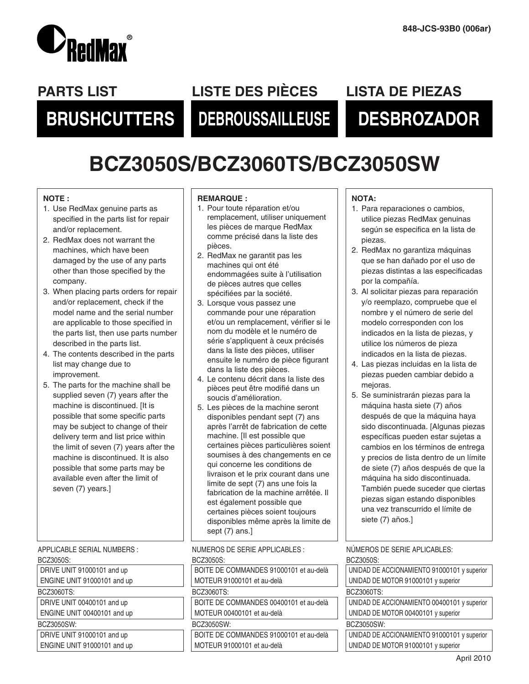

## **PARTS LIST LISTE DES PIÈCES LISTA DE PIEZAS**

# **BRUSHCUTTERS DEBROUSSAILLEUSE DESBROZADOR**

# **BCZ3050S/BCZ3060TS/BCZ3050SW**

#### **NOTE :**

- 1. Use RedMax genuine parts as specified in the parts list for repair and/or replacement.
- 2. RedMax does not warrant the machines, which have been damaged by the use of any parts other than those specified by the company.
- 3. When placing parts orders for repair and/or replacement, check if the model name and the serial number are applicable to those specified in the parts list, then use parts number described in the parts list.
- 4. The contents described in the parts list may change due to improvement.
- 5. The parts for the machine shall be supplied seven (7) years after the machine is discontinued. [It is possible that some specific parts may be subject to change of their delivery term and list price within the limit of seven (7) years after the machine is discontinued. It is also possible that some parts may be available even after the limit of seven (7) years.]

APPLICABLE SERIAL NUMBERS :

#### BCZ3050S:

DRIVE UNIT 91000101 and up ENGINE UNIT 91000101 and up BCZ3060TS: DRIVE UNIT 00400101 and up ENGINE UNIT 00400101 and up

BCZ3050SW:

DRIVE UNIT 91000101 and up ENGINE UNIT 91000101 and up

#### **REMARQUE :**

- 1. Pour toute réparation et/ou remplacement, utiliser uniquement les pièces de marque RedMax comme précisé dans la liste des pièces.
- 2. RedMax ne garantit pas les machines qui ont été endommagées suite à l'utilisation de pièces autres que celles spécifiées par la société.
- 3. Lorsque vous passez une commande pour une réparation et/ou un remplacement, vérifier si le nom du modèle et le numéro de série s'appliquent à ceux précisés dans la liste des pièces, utiliser ensuite le numéro de pièce figurant dans la liste des pièces.
- 4. Le contenu décrit dans la liste des pièces peut être modifié dans un soucis d'amélioration.
- 5. Les pièces de la machine seront disponibles pendant sept (7) ans après l'arrêt de fabrication de cette machine. [Il est possible que certaines pièces particulières soient soumises à des changements en ce qui concerne les conditions de livraison et le prix courant dans une limite de sept (7) ans une fois la fabrication de la machine arrêtée. Il est également possible que certaines pièces soient toujours disponibles même après la limite de sept (7) ans.]

NUMEROS DE SERIE APPLICABLES :

BOZ0050O

| BUZ305051                              |
|----------------------------------------|
| BOITE DE COMMANDES 91000101 et au-delà |
| MOTEUR 91000101 et au-delà             |
| BCZ3060TS:                             |
| BOITE DE COMMANDES 00400101 et au-delà |
| MOTEUR 00400101 et au-delà             |
| BCZ3050SW:                             |
| BOITE DE COMMANDES 91000101 et au-delà |
| MOTEUR 91000101 et au-delà             |
|                                        |

#### **NOTA:**

- 1. Para reparaciones o cambios, utilice piezas RedMax genuinas según se especifica en la lista de piezas.
- 2. RedMax no garantiza máquinas que se han dañado por el uso de piezas distintas a las especificadas por la compañía.
- 3. Al solicitar piezas para reparación y/o reemplazo, compruebe que el nombre y el número de serie del modelo corresponden con los indicados en la lista de piezas, y utilice los números de pieza indicados en la lista de piezas.
- 4. Las piezas incluidas en la lista de piezas pueden cambiar debido a mejoras.
- 5. Se suministrarán piezas para la máquina hasta siete (7) años después de que la máquina haya sido discontinuada. [Algunas piezas específicas pueden estar sujetas a cambios en los términos de entrega y precios de lista dentro de un límite de siete (7) años después de que la máquina ha sido discontinuada. También puede suceder que ciertas piezas sigan estando disponibles una vez transcurrido el límite de siete (7) años.]

NÚMEROS DE SERIE APLICABLES: BCZ3050S:

UNIDAD DE ACCIONAMIENTO 91000101 y superior UNIDAD DE MOTOR 91000101 y superior BCZ3060TS: UNIDAD DE ACCIONAMIENTO 00400101 y superior UNIDAD DE MOTOR 00400101 y superior BCZ3050SW: UNIDAD DE ACCIONAMIENTO 91000101 y superior UNIDAD DE MOTOR 91000101 y superior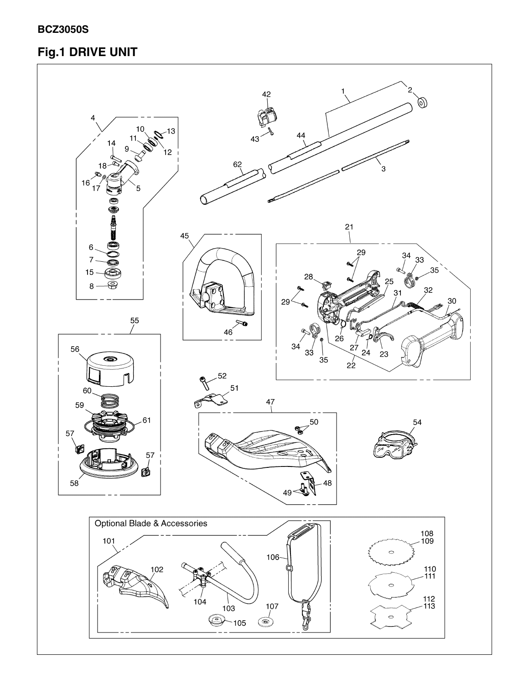### **BCZ3050S**

## Fig.1 DRIVE UNIT

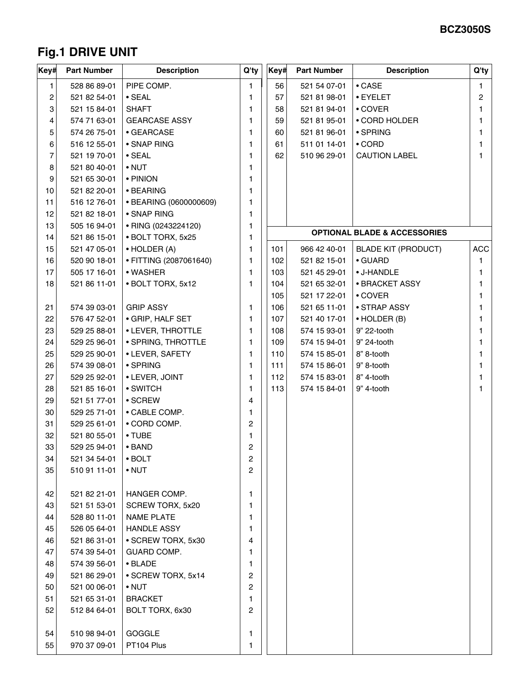## **Fig.1 DRIVE UNIT**

| ∣Key# | <b>Part Number</b> | <b>Description</b>     | Q'ty | Key# | <b>Part Number</b> | <b>Description</b>                      | Q'ty           |
|-------|--------------------|------------------------|------|------|--------------------|-----------------------------------------|----------------|
| 1     | 528 86 89-01       | PIPE COMP.             | 1    | 56   | 521 54 07-01       | $\bullet$ CASE                          | 1              |
| 2     | 521 82 54-01       | $\cdot$ SEAL           | 1    | 57   | 521 81 98-01       | • EYELET                                | $\overline{c}$ |
| З     | 521 15 84-01       | <b>SHAFT</b>           | 1    | 58   | 521 81 94-01       | • COVER                                 | 1              |
| 4     | 574 71 63-01       | <b>GEARCASE ASSY</b>   | 1    | 59   | 521 81 95-01       | • CORD HOLDER                           | 1.             |
| 5     | 574 26 75-01       | • GEARCASE             | 1    | 60   | 521 81 96-01       | • SPRING                                | 1              |
| 6     | 516 12 55-01       | • SNAP RING            | 1    | 61   | 511 01 14-01       | $\cdot$ CORD                            | 1              |
| 7     | 521 19 70-01       | $\cdot$ SEAL           | 1    | 62   | 510 96 29-01       | <b>CAUTION LABEL</b>                    | 1              |
| 8     | 521 80 40-01       | $\bullet$ NUT          | 1    |      |                    |                                         |                |
| 9     | 521 65 30-01       | • PINION               | 1    |      |                    |                                         |                |
| 10    | 521 82 20-01       | • BEARING              | 1    |      |                    |                                         |                |
| 11    | 516 12 76-01       | • BEARING (0600000609) | 1    |      |                    |                                         |                |
| 12    | 521 82 18-01       | • SNAP RING            | 1    |      |                    |                                         |                |
| 13    | 505 16 94-01       | • RING (0243224120)    | 1    |      |                    | <b>OPTIONAL BLADE &amp; ACCESSORIES</b> |                |
| 14    | 521 86 15-01       | • BOLT TORX, 5x25      | 1    |      |                    |                                         |                |
| 15    | 521 47 05-01       | $\bullet$ HOLDER (A)   | 1    | 101  | 966 42 40-01       | <b>BLADE KIT (PRODUCT)</b>              | <b>ACC</b>     |
| 16    | 520 90 18-01       | • FITTING (2087061640) | 1    | 102  | 521 82 15-01       | • GUARD                                 | 1              |
| 17    | 505 17 16-01       | • WASHER               | 1    | 103  | 521 45 29-01       | • J-HANDLE                              | 1              |
| 18    | 521 86 11-01       | • BOLT TORX, 5x12      | 1    | 104  | 521 65 32-01       | • BRACKET ASSY                          | 1              |
|       |                    |                        |      | 105  | 521 17 22-01       | • COVER                                 | 1              |
| 21    | 574 39 03-01       | <b>GRIP ASSY</b>       | 1    | 106  | 521 65 11-01       | • STRAP ASSY                            | 1.             |
| 22    | 576 47 52-01       | • GRIP, HALF SET       | 1    | 107  | 521 40 17-01       | $\bullet$ HOLDER (B)                    |                |
| 23    | 529 25 88-01       | • LEVER, THROTTLE      | 1    | 108  | 574 15 93-01       | 9" 22-tooth                             | 1              |
| 24    | 529 25 96-01       | • SPRING, THROTTLE     | 1    | 109  | 574 15 94-01       | 9" 24-tooth                             | 1              |
| 25    | 529 25 90-01       | • LEVER, SAFETY        | 1    | 110  | 574 15 85-01       | 8" 8-tooth                              | 1              |
| 26    | 574 39 08-01       | $\cdot$ SPRING         | 1    | 111  | 574 15 86-01       | 9" 8-tooth                              |                |
| 27    | 529 25 92-01       | • LEVER, JOINT         | 1    | 112  | 574 15 83-01       | 8" 4-tooth                              | 1              |
| 28    | 521 85 16-01       | • SWITCH               | 1    | 113  | 574 15 84-01       | 9" 4-tooth                              | 1              |
| 29    | 521 51 77-01       | $\cdot$ SCREW          | 4    |      |                    |                                         |                |
| 30    | 529 25 71-01       | • CABLE COMP.          | 1.   |      |                    |                                         |                |
| 31    | 529 25 61-01       | • CORD COMP.           | 2    |      |                    |                                         |                |
| 32    | 521 80 55-01       | • TUBE                 | 1    |      |                    |                                         |                |
| 33    | 529 25 94-01       | $\bullet$ BAND         | 2    |      |                    |                                         |                |
| 34    | 521 34 54-01       | $\cdot$ BOLT           | 2    |      |                    |                                         |                |
| 35    | 510 91 11-01       | $\bullet$ NUT          | 2    |      |                    |                                         |                |
| 42    | 521 82 21-01       | HANGER COMP.           | 1    |      |                    |                                         |                |
| 43    | 521 51 53-01       | SCREW TORX, 5x20       | 1    |      |                    |                                         |                |
| 44    | 528 80 11-01       | <b>NAME PLATE</b>      | 1    |      |                    |                                         |                |
| 45    | 526 05 64-01       | <b>HANDLE ASSY</b>     | 1    |      |                    |                                         |                |
| 46    | 521 86 31-01       | • SCREW TORX, 5x30     | 4    |      |                    |                                         |                |
| 47    | 574 39 54-01       | GUARD COMP.            | 1    |      |                    |                                         |                |
| 48    | 574 39 56-01       | • BLADE                | 1    |      |                    |                                         |                |
| 49    | 521 86 29-01       | • SCREW TORX, 5x14     | 2    |      |                    |                                         |                |
| 50    | 521 00 06-01       | $\bullet$ NUT          | 2    |      |                    |                                         |                |
| 51    | 521 65 31-01       | <b>BRACKET</b>         | 1    |      |                    |                                         |                |
| 52    | 512 84 64-01       | BOLT TORX, 6x30        | 2    |      |                    |                                         |                |
|       |                    |                        |      |      |                    |                                         |                |
| 54    | 510 98 94-01       | GOGGLE                 | 1    |      |                    |                                         |                |
| 55    | 970 37 09-01       | PT104 Plus             | 1    |      |                    |                                         |                |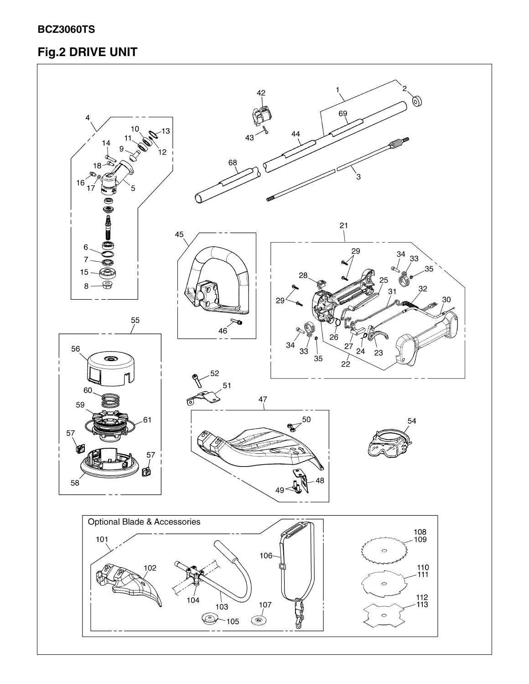### **BCZ3060TS**

## Fig.2 DRIVE UNIT

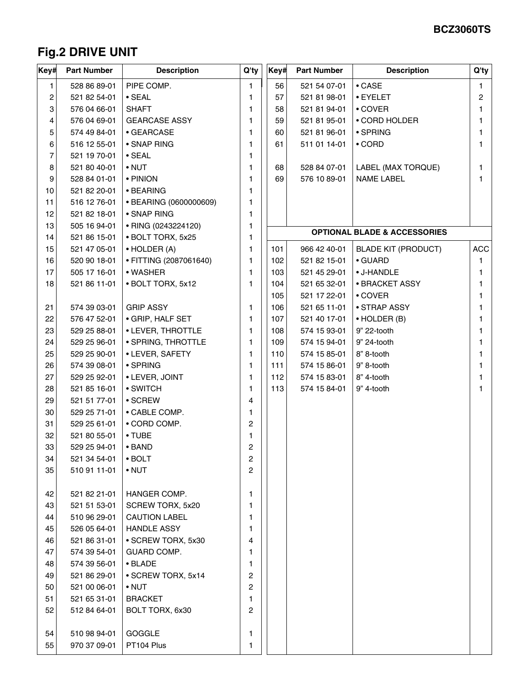## **Fig.2 DRIVE UNIT**

| ∣Key# | <b>Part Number</b> | <b>Description</b>     | Q'ty | Key# | <b>Part Number</b> | <b>Description</b>                      | Q'ty       |
|-------|--------------------|------------------------|------|------|--------------------|-----------------------------------------|------------|
| 1     | 528 86 89-01       | PIPE COMP.             | 1    | 56   | 521 54 07-01       | $\bullet$ CASE                          | 1          |
| 2     | 521 82 54-01       | $\cdot$ SEAL           | 1    | 57   | 521 81 98-01       | • EYELET                                | 2          |
| 3     | 576 04 66-01       | <b>SHAFT</b>           | 1    | 58   | 521 81 94-01       | • COVER                                 | 1          |
| 4     | 576 04 69-01       | <b>GEARCASE ASSY</b>   | 1    | 59   | 521 81 95-01       | • CORD HOLDER                           | 1          |
| 5     | 574 49 84-01       | • GEARCASE             | 1    | 60   | 521 81 96-01       | • SPRING                                | 1          |
| 6     | 516 12 55-01       | • SNAP RING            | 1    | 61   | 511 01 14-01       | $\cdot$ CORD                            | 1          |
| 7     | 521 19 70-01       | $\cdot$ SEAL           | 1    |      |                    |                                         |            |
| 8     | 521 80 40-01       | $\bullet$ NUT          | 1    | 68   | 528 84 07-01       | LABEL (MAX TORQUE)                      | 1          |
| 9     | 528 84 01-01       | • PINION               | 1    | 69   | 576 10 89-01       | <b>NAME LABEL</b>                       | 1          |
| 10    | 521 82 20-01       | • BEARING              | 1    |      |                    |                                         |            |
| 11    | 516 12 76-01       | • BEARING (0600000609) | 1    |      |                    |                                         |            |
| 12    | 521 82 18-01       | • SNAP RING            | 1    |      |                    |                                         |            |
| 13    | 505 16 94-01       | • RING (0243224120)    | 1    |      |                    | <b>OPTIONAL BLADE &amp; ACCESSORIES</b> |            |
| 14    | 521 86 15-01       | · BOLT TORX, 5x25      | 1    |      |                    |                                         |            |
| 15    | 521 47 05-01       | • HOLDER (A)           | 1    | 101  | 966 42 40-01       | <b>BLADE KIT (PRODUCT)</b>              | <b>ACC</b> |
| 16    | 520 90 18-01       | • FITTING (2087061640) | 1    | 102  | 521 82 15-01       | • GUARD                                 | 1          |
| 17    | 505 17 16-01       | • WASHER               | 1    | 103  | 521 45 29-01       | • J-HANDLE                              | 1          |
| 18    | 521 86 11-01       | · BOLT TORX, 5x12      | 1    | 104  | 521 65 32-01       | • BRACKET ASSY                          | 1          |
|       |                    |                        |      | 105  | 521 17 22-01       | • COVER                                 | 1          |
| 21    | 574 39 03-01       | <b>GRIP ASSY</b>       | 1    | 106  | 521 65 11-01       | • STRAP ASSY                            | 1          |
| 22    | 576 47 52-01       | · GRIP, HALF SET       | 1    | 107  | 521 40 17-01       | $\bullet$ HOLDER (B)                    | 1          |
| 23    | 529 25 88-01       | • LEVER, THROTTLE      | 1    | 108  | 574 15 93-01       | 9" 22-tooth                             | 1          |
| 24    | 529 25 96-01       | • SPRING, THROTTLE     | 1    | 109  | 574 15 94-01       | 9" 24-tooth                             | 1          |
| 25    | 529 25 90-01       | • LEVER, SAFETY        | 1    | 110  | 574 15 85-01       | 8" 8-tooth                              | 1          |
| 26    | 574 39 08-01       | • SPRING               | 1    | 111  | 574 15 86-01       | 9" 8-tooth                              | 1          |
| 27    | 529 25 92-01       | • LEVER, JOINT         | 1    | 112  | 574 15 83-01       | 8" 4-tooth                              | 1          |
| 28    | 521 85 16-01       | • SWITCH               | 1    | 113  | 574 15 84-01       | 9" 4-tooth                              |            |
| 29    | 521 51 77-01       | $\cdot$ SCREW          | 4    |      |                    |                                         |            |
| 30    | 529 25 71-01       | • CABLE COMP.          | 1    |      |                    |                                         |            |
| 31    | 529 25 61-01       | • CORD COMP.           | 2    |      |                    |                                         |            |
| 32    | 521 80 55-01       | • TUBE                 | 1    |      |                    |                                         |            |
| 33    | 529 25 94-01       | $\bullet$ BAND         | 2    |      |                    |                                         |            |
| 34    | 521 34 54-01       | $\cdot$ BOLT           | 2    |      |                    |                                         |            |
| 35    | 510 91 11-01       | $\bullet$ NUT          | 2    |      |                    |                                         |            |
| 42    | 521 82 21-01       | HANGER COMP.           | 1    |      |                    |                                         |            |
| 43    | 521 51 53-01       | SCREW TORX, 5x20       | 1    |      |                    |                                         |            |
| 44    | 510 96 29-01       | <b>CAUTION LABEL</b>   | 1    |      |                    |                                         |            |
| 45    | 526 05 64-01       | <b>HANDLE ASSY</b>     | 1    |      |                    |                                         |            |
| 46    | 521 86 31-01       | • SCREW TORX, 5x30     | 4    |      |                    |                                         |            |
| 47    | 574 39 54-01       | GUARD COMP.            | 1    |      |                    |                                         |            |
| 48    | 574 39 56-01       | • BLADE                | 1    |      |                    |                                         |            |
| 49    | 521 86 29-01       | · SCREW TORX, 5x14     | 2    |      |                    |                                         |            |
| 50    | 521 00 06-01       | $\bullet$ NUT          | 2    |      |                    |                                         |            |
| 51    | 521 65 31-01       | <b>BRACKET</b>         | 1    |      |                    |                                         |            |
| 52    | 512 84 64-01       | BOLT TORX, 6x30        | 2    |      |                    |                                         |            |
|       |                    |                        |      |      |                    |                                         |            |
| 54    | 510 98 94-01       | GOGGLE                 | 1    |      |                    |                                         |            |
| 55    | 970 37 09-01       | PT104 Plus             | 1    |      |                    |                                         |            |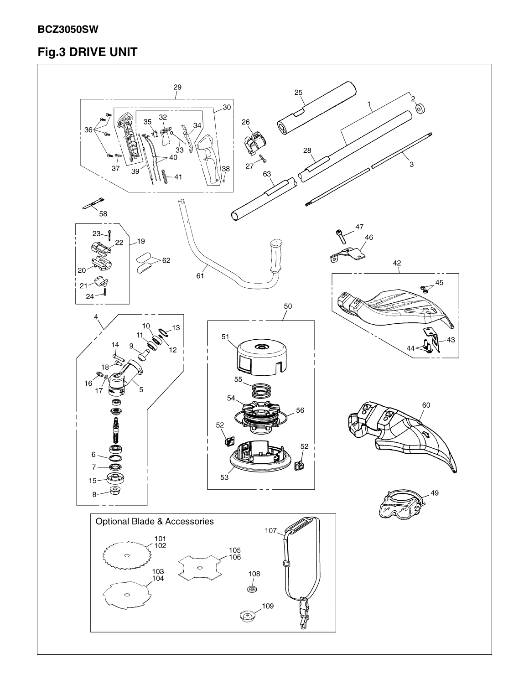### **BCZ3050SW**

## Fig.3 DRIVE UNIT

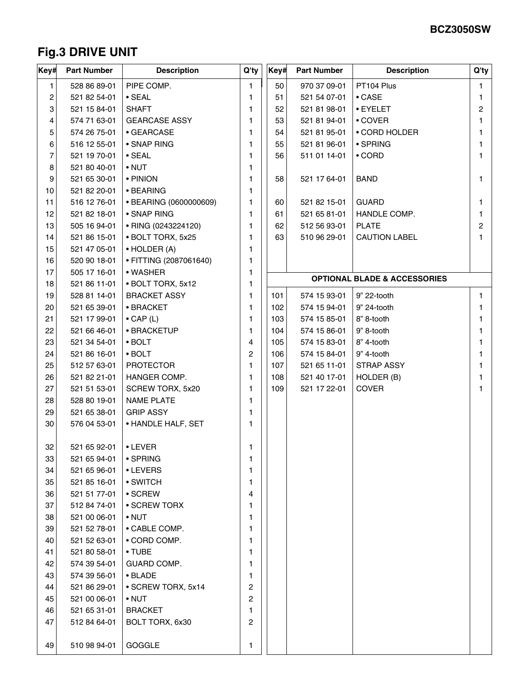## **Fig.3 DRIVE UNIT**

| Key# | <b>Part Number</b> | <b>Description</b>     | Q'ty | Key# | <b>Part Number</b> | <b>Description</b>                      | Q'ty           |
|------|--------------------|------------------------|------|------|--------------------|-----------------------------------------|----------------|
| 1    | 528 86 89-01       | PIPE COMP.             | 1    | 50   | 970 37 09-01       | PT104 Plus                              | 1              |
| 2    | 521 82 54-01       | $\cdot$ SEAL           | 1    | 51   | 521 54 07-01       | $\bullet$ CASE                          | 1              |
| 3    | 521 15 84-01       | <b>SHAFT</b>           | 1    | 52   | 521 81 98-01       | • EYELET                                | $\overline{c}$ |
| 4    | 574 71 63-01       | <b>GEARCASE ASSY</b>   | 1    | 53   | 521 81 94-01       | • COVER                                 | 1              |
| 5    | 574 26 75-01       | • GEARCASE             | 1    | 54   | 521 81 95-01       | • CORD HOLDER                           | 1              |
| 6    | 516 12 55-01       | • SNAP RING            | 1    | 55   | 521 81 96-01       | • SPRING                                | 1              |
| 7    | 521 19 70-01       | $\cdot$ SEAL           | 1    | 56   | 511 01 14-01       | $\cdot$ CORD                            | 1              |
| 8    | 521 80 40-01       | $\bullet$ NUT          | 1    |      |                    |                                         |                |
| 9    | 521 65 30-01       | • PINION               | 1    | 58   | 521 17 64-01       | <b>BAND</b>                             | 1              |
| 10   | 521 82 20-01       | • BEARING              | 1    |      |                    |                                         |                |
| 11   | 516 12 76-01       | • BEARING (0600000609) | 1    | 60   | 521 82 15-01       | <b>GUARD</b>                            | 1              |
| 12   | 521 82 18-01       | • SNAP RING            | 1    | 61   | 521 65 81-01       | HANDLE COMP.                            | 1              |
| 13   | 505 16 94-01       | • RING (0243224120)    | 1    | 62   | 512 56 93-01       | <b>PLATE</b>                            | $\overline{2}$ |
| 14   | 521 86 15-01       | · BOLT TORX, 5x25      | 1    | 63   | 510 96 29-01       | <b>CAUTION LABEL</b>                    | 1.             |
| 15   | 521 47 05-01       | $\bullet$ HOLDER (A)   | 1    |      |                    |                                         |                |
| 16   | 520 90 18-01       | • FITTING (2087061640) | 1    |      |                    |                                         |                |
| 17   | 505 17 16-01       | • WASHER               | 1    |      |                    |                                         |                |
| 18   | 521 86 11-01       | • BOLT TORX, 5x12      | 1    |      |                    | <b>OPTIONAL BLADE &amp; ACCESSORIES</b> |                |
| 19   | 528 81 14-01       | <b>BRACKET ASSY</b>    | 1    | 101  | 574 15 93-01       | 9" 22-tooth                             | 1              |
| 20   | 521 65 39-01       | • BRACKET              | 1    | 102  | 574 15 94-01       | 9" 24-tooth                             | 1              |
| 21   | 521 17 99-01       | $\bullet$ CAP (L)      | 1    | 103  | 574 15 85-01       | 8" 8-tooth                              | 1              |
| 22   | 521 66 46-01       | • BRACKETUP            | 1    | 104  | 574 15 86-01       | 9" 8-tooth                              | 1              |
| 23   | 521 34 54-01       | $\cdot$ BOLT           | 4    | 105  | 574 15 83-01       | 8" 4-tooth                              | 1              |
| 24   | 521 86 16-01       | $\bullet$ BOLT         | 2    | 106  | 574 15 84-01       | 9" 4-tooth                              | 1              |
| 25   | 512 57 63-01       | <b>PROTECTOR</b>       | 1    | 107  | 521 65 11-01       | STRAP ASSY                              | 1              |
| 26   | 521 82 21-01       | HANGER COMP.           | 1    | 108  | 521 40 17-01       | HOLDER (B)                              | 1              |
| 27   | 521 51 53-01       | SCREW TORX, 5x20       | 1    | 109  | 521 17 22-01       | <b>COVER</b>                            |                |
| 28   | 528 80 19-01       | <b>NAME PLATE</b>      | 1.   |      |                    |                                         |                |
| 29   | 521 65 38-01       | <b>GRIP ASSY</b>       | 1    |      |                    |                                         |                |
| 30   | 576 04 53-01       | • HANDLE HALF, SET     | 1    |      |                    |                                         |                |
| 32   | 521 65 92-01       | • LEVER                | 1    |      |                    |                                         |                |
| 33   | 521 65 94-01       | • SPRING               | 1    |      |                    |                                         |                |
| 34   | 521 65 96-01       | • LEVERS               | 1    |      |                    |                                         |                |
| 35   | 521 85 16-01       | • SWITCH               | 1    |      |                    |                                         |                |
| 36   | 521 51 77-01       | • SCREW                | 4    |      |                    |                                         |                |
| 37   | 512 84 74-01       | • SCREW TORX           | 1    |      |                    |                                         |                |
| 38   | 521 00 06-01       | $\bullet$ NUT          | 1    |      |                    |                                         |                |
| 39   | 521 52 78-01       | • CABLE COMP.          | 1    |      |                    |                                         |                |
| 40   | 521 52 63-01       | • CORD COMP.           | 1    |      |                    |                                         |                |
| 41   | 521 80 58-01       | • TUBE                 | 1    |      |                    |                                         |                |
| 42   | 574 39 54-01       | GUARD COMP.            | 1    |      |                    |                                         |                |
| 43   | 574 39 56-01       | • BLADE                | 1    |      |                    |                                         |                |
| 44   | 521 86 29-01       | • SCREW TORX, 5x14     | 2    |      |                    |                                         |                |
| 45   | 521 00 06-01       | $\bullet$ NUT          | 2    |      |                    |                                         |                |
| 46   | 521 65 31-01       | <b>BRACKET</b>         | 1    |      |                    |                                         |                |
| 47   | 512 84 64-01       | BOLT TORX, 6x30        | 2    |      |                    |                                         |                |
| 49   | 510 98 94-01       | GOGGLE                 | 1    |      |                    |                                         |                |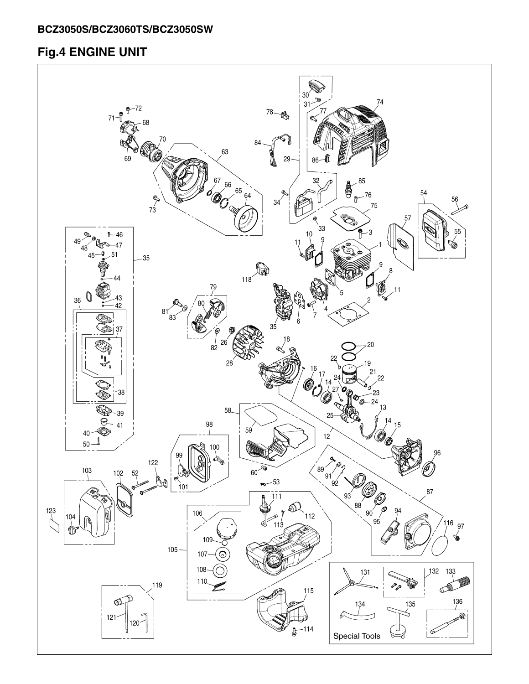## **Fig.4 ENGINE UNIT**